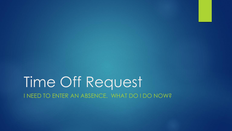# Time Off Request I NEED TO ENTER AN ABSENCE. WHAT DO I DO NOW?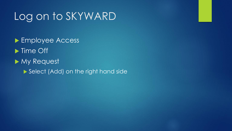# Log on to SKYWARD

▶ Employee Access lacktriangleright Time Off My Request Select (Add) on the right hand side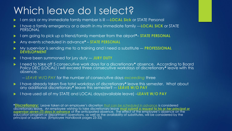## Which leave do I select?

- I am sick or my immediate family member is ill ---**LOCAL Sick** or STATE Personal
- I have a family emergency or a death in my immediate family ---**LOCAL SICK** or STATE PERSONAL
- ▶ I am going to pick up a friend/family member from the airport<sup>\*</sup>– **STATE PERSONAL**
- Any events scheduled in advance**\* STATE PERSONAL**
- My supervisor is sending me to a training and I need a substitute –- **PROFESSIONAL DEVELOPMENT**
- I have been summoned for jury duty –- **JURY DUTY**
- I need to take off 5 consecutive work days for a discretionary**\*** absence. According to Board Policy DEC (LOCAL) I will exceed three consecutive workdays of discretionary<sup>\*</sup> leave with this absence.
	- -- *LEAVE W/O PAY* for the number of consecutive days *exceeding* three
- I have already taken five total workdays of discretionary**\*** leave this semester. What about any additional discretionary**\*** leave this semester? –- **LEAVE W/O PAY**
- I have used all of my STATE and LOCAL days(available leave) –**LEAVE W/O PAY**

**\*Discretionary:** Leave taken at an employee's discretion *that can be scheduled in advance* is considered discretionary leave. An employee wishing to take discretionary leave *must submit a request to his or her principal or supervisor seven (7) days in advance* of the anticipated absence. The effect of the employee's absence on the education program or department operations, as well as the availability of substitutes, will be considered by the principal or supervisor. (Employee Handbook pages 23-33)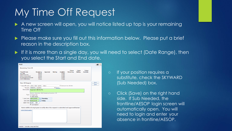# My Time Off Request

- A new screen will open, you will notice listed up top is your remaining Time Off
- Please make sure you fill out this information below. Please put a brief reason in the description box.
- If it is more than a single day, you will need to select (Date Range), then you select the Start and End date.

| <b>Remaining Time Off</b>                                                                                   |                                                                         |          |                |                                      |                            |                                 |                            |             |
|-------------------------------------------------------------------------------------------------------------|-------------------------------------------------------------------------|----------|----------------|--------------------------------------|----------------------------|---------------------------------|----------------------------|-------------|
| <b>Time Off Code</b><br><b>Jury Duty</b>                                                                    | Remaining<br>0 Days                                                     | Approved | <b>Waiting</b> | Available<br>0 Days                  | <b>Future</b><br>Remaining | <b>Future</b><br><b>Waiting</b> | <b>Future</b><br>Available |             |
| <b>LEAVE W/O PAY</b><br><b>LOCAL SICK LEAVE</b><br><b>Professional Development</b><br><b>STATE PERSONAL</b> | 0 Days<br>5 Days<br>0 Days<br>5 Days                                    |          |                | 0 Days<br>5 Days<br>0 Days<br>5 Days |                            |                                 |                            |             |
| <b>Time Off Request</b>                                                                                     |                                                                         |          |                |                                      |                            |                                 |                            | Save        |
| * Time Off Code: LOCAL SICK LEAVE - Days                                                                    |                                                                         |          |                |                                      | Hours per Day: 8h 00m      |                                 |                            | <b>Back</b> |
| * Reason: PERSONAL ILLNESS                                                                                  |                                                                         |          | V Detail       |                                      |                            |                                 |                            |             |
| Description: Diagnosed with the Flu                                                                         |                                                                         |          |                |                                      |                            |                                 |                            |             |
| Type: $\bigcirc$ Single Dav<br>* Start Date: 09/01/2016                                                     | Maximum characters: 200, Remaining characters: 178<br><b>Date Range</b> | Thursday |                |                                      |                            |                                 |                            |             |
| End Date: 09/02/2016                                                                                        | <b>Friday</b>                                                           |          |                |                                      |                            |                                 |                            |             |
| Start Time: 08:00                                                                                           | <b>AM</b><br>Sub Needed                                                 |          |                |                                      |                            |                                 |                            |             |
| Select additional employees to notify when this request is submitted and approved/denied                    |                                                                         |          |                |                                      |                            |                                 |                            |             |
| Select Employee(s):                                                                                         |                                                                         |          |                |                                      |                            |                                 |                            |             |
|                                                                                                             |                                                                         |          |                |                                      |                            |                                 |                            |             |
|                                                                                                             |                                                                         |          |                |                                      |                            |                                 |                            |             |
|                                                                                                             |                                                                         |          |                |                                      |                            |                                 |                            |             |

- If your position requires a substitute, check the SKYWARD (Sub Needed) box.
- Click (Save) on the right hand side. If Sub Needed, the frontline/AESOP login screen will automatically open. You will need to login and enter your absence in frontline/AESOP.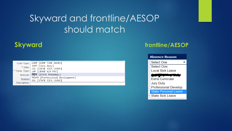### Skyward and frontline/AESOP should match

|              | Code Type: COMP [COMP TIME HOURS]                  |
|--------------|----------------------------------------------------|
|              | * Date: JURY [Jury Duty]<br>LSL [LOCAL SICK LEAVE] |
|              |                                                    |
|              | * Trans. Type:   LWP [LEAVE W/O PAY]               |
|              | Amount: PDY [STATE PERSONAL]                       |
| Reason:      | PROFD [Professional Development]                   |
|              | SSL [STATE SICK LEAVE]                             |
| Description: |                                                    |

### **Skyward frontline/AESOP**

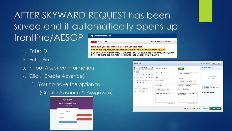### AFTER SKYWARD REQUEST has been saved and it automatically opens up frontline/AESOP

- 1. Enter ID
- 2. Enter Pin
- 3. Fill out Absence Information
- 4. Click (Create Absence)
	- 1. You do have the option to
		- (Create Absence & Assign Sub)

| <b>frontline</b>                                   |                            |
|----------------------------------------------------|----------------------------|
| <b>Absence Management</b><br><b>Formerly Aesop</b> |                            |
| Sign In                                            |                            |
| ID or Username                                     |                            |
| ţ                                                  | Your usemame is required.  |
| PIN or Password                                    |                            |
| ţ                                                  | Your password is required. |
| Sign In                                            |                            |
| Forgot ID or Username                              | Forgot PIN or Password     |
| Or Sign In with Organization SSO                   |                            |

| <b>Important Notifications</b>                                             |                                      |  |  |  |  |  |
|----------------------------------------------------------------------------|--------------------------------------|--|--|--|--|--|
| <b>Plainview ISD</b><br><b>High</b>                                        | posted on Thursday, September 1, 201 |  |  |  |  |  |
| Make sure your absence is entered in Skyward first!                        |                                      |  |  |  |  |  |
| If no sub is required, the absence does not need to be entered into AESOP. |                                      |  |  |  |  |  |

If you are using discretionary leave, make sure you have approval through Skyward before entering the sub request into Absence Management (AESOP)

| $\bullet$<br>October 2018<br>Q                                                                                        |                                    |                              |                                                               |                             |                                                  |                           | <b>Substitute Required</b><br><b>Yes</b>                       |                                               | <b>FILE ATTACHMENTS</b> |  |  |
|-----------------------------------------------------------------------------------------------------------------------|------------------------------------|------------------------------|---------------------------------------------------------------|-----------------------------|--------------------------------------------------|---------------------------|----------------------------------------------------------------|-----------------------------------------------|-------------------------|--|--|
| <b>SUN</b><br>30                                                                                                      | <b>MON</b><br>$\blacktriangleleft$ | <b>TUE</b><br>$\overline{2}$ | 3                                                             | WED THU<br>4                | <b>FRI</b><br>5                                  | <b>SAT</b><br>6           |                                                                |                                               |                         |  |  |
| 7                                                                                                                     | 8                                  | 9                            | 10                                                            | 11                          | 12                                               | 13                        | <b>Absence Reason</b>                                          | State Personal Leave                          |                         |  |  |
| 14                                                                                                                    | 15                                 | 16                           | 17                                                            | 18                          | 19                                               | 20                        | <b>Time</b>                                                    |                                               | DRAG AND DROP           |  |  |
| 21                                                                                                                    | 22                                 | 23                           | 24                                                            | 25                          | 26                                               | 27                        | Please enter a valid time range using the<br>HH: MM AM format. | <b>Full Day</b><br>04:00 PM<br>08:00 AM<br>to | <b>FILES HERE</b>       |  |  |
| 28                                                                                                                    | 29                                 | 30                           | 31                                                            |                             | $\overline{2}$                                   | 3                         |                                                                |                                               |                         |  |  |
| <b>Helpful Hint:</b><br>You can select multiple days<br>individually or click-and-drag to<br>select a range of dates. |                                    |                              | <b>Hold Until</b>                                             | Hold For 10 Minute(s)<br>▼. |                                                  |                           |                                                                |                                               |                         |  |  |
|                                                                                                                       |                                    |                              | <b>Notes to Administrator</b><br>(not viewable by Substitute) | Choose File No file chosen  |                                                  |                           |                                                                |                                               |                         |  |  |
|                                                                                                                       |                                    |                              |                                                               | Diagnosed with the Flu      | Instructions are on my desk in<br>the red folder | <b>Shared Attachments</b> |                                                                |                                               |                         |  |  |
|                                                                                                                       |                                    |                              |                                                               |                             |                                                  |                           |                                                                |                                               |                         |  |  |